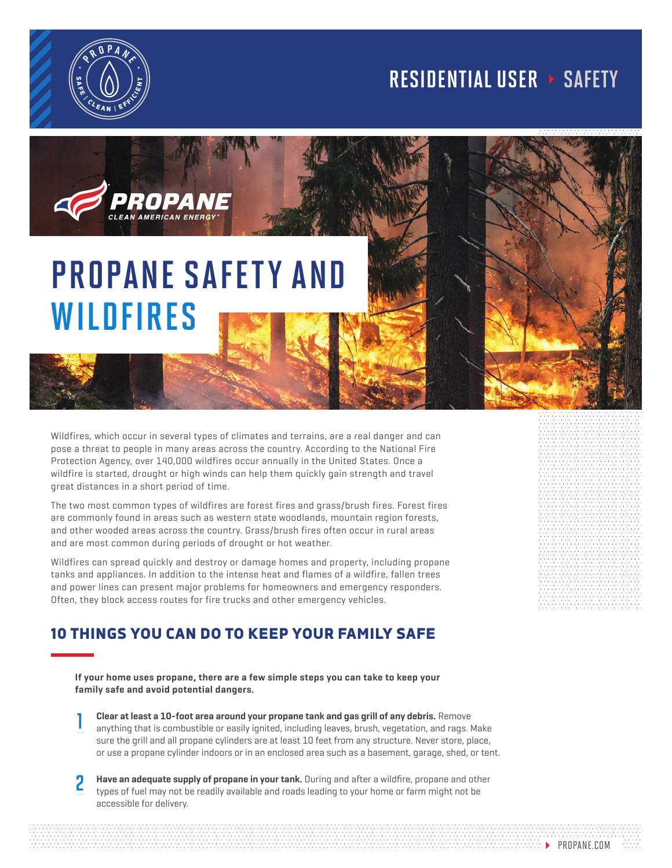

## RESIDENTIAL USER > SAFETY



Wildfires, which occur in several types of climates and terrains, are a real danger and can pose a threat to people in many areas across the country. According to the National Fire Protection Agency, over 140,000 wildfires occur annually in the United States. Once a wildfire is started, drought or high winds can help them quickly gain strength and travel great distances in a short period of time.

The two most common types of wildfires are forest fires and grass/brush fires. Forest fires are commonly found in areas such as western state woodlands, mountain region forests, and other wooded areas across the country. Grass/brush fires often occur in rural areas and are most common during periods of drought or hot weather.

Wildfires can spread quickly and destroy or damage homes and property, including propane tanks and appliances. In addition to the intense heat and flames of a wildfire, fallen trees and power lines can present major problems for homeowners and emergency responders. Often, they block access routes for fire trucks and other emergency vehicles.

## 10 THINGS YOU CAN DO TO KEEP YOUR FAMILY SAFE

**If your home uses propane, there are a few simple steps you can take to keep your family safe and avoid potential dangers.**

- **Clear at least a 10-foot area around your propane tank and gas grill of any debris.** Remove anything that is combustible or easily ignited, including leaves, brush, vegetation, and rags. Make sure the grill and all propane cylinders are at least 10 feet from any structure. Never store, place, or use a propane cylinder indoors or in an enclosed area such as a basement, garage, shed, or tent. 1
- **Have an adequate supply of propane in your tank.** During and after a wildfire, propane and other types of fuel may not be readily available and roads leading to your home or farm might not be accessible for delivery. 2